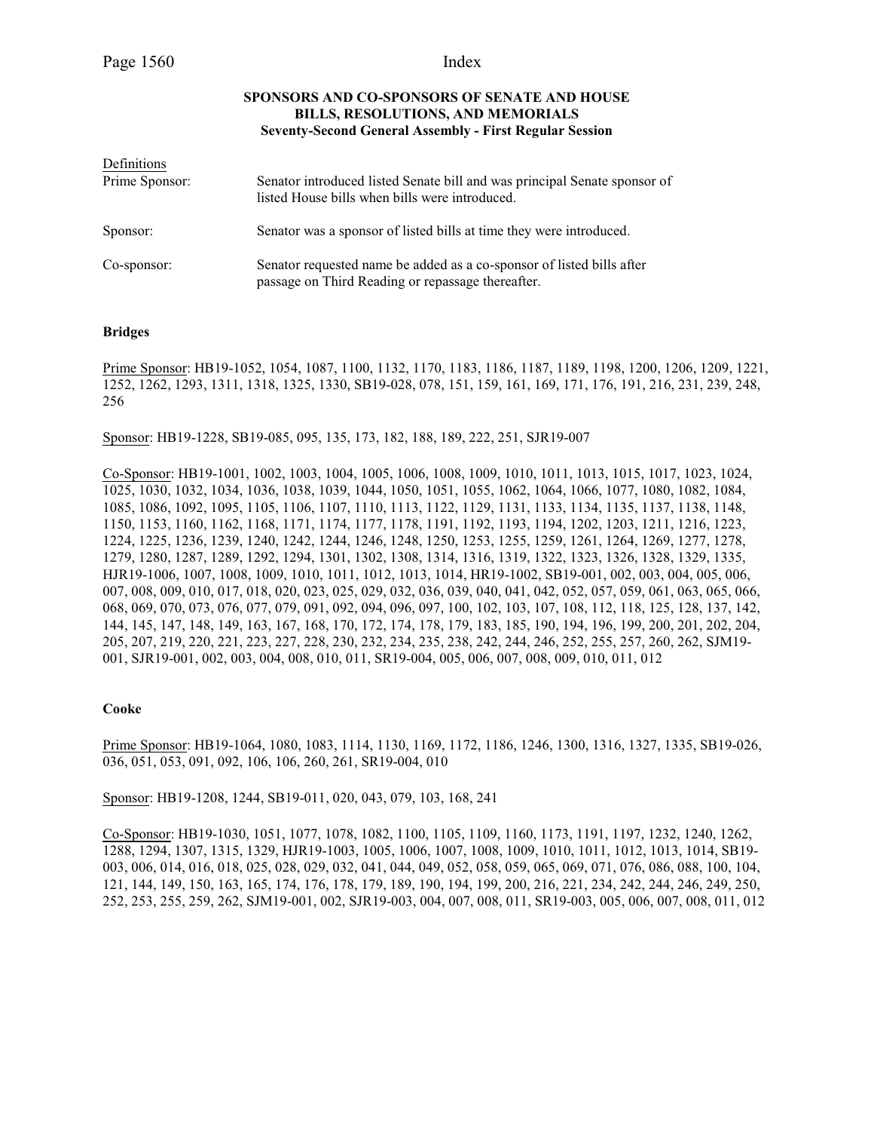# **SPONSORS AND CO-SPONSORS OF SENATE AND HOUSE BILLS, RESOLUTIONS, AND MEMORIALS Seventy-Second General Assembly - First Regular Session**

| Definitions    |                                                                                                                             |
|----------------|-----------------------------------------------------------------------------------------------------------------------------|
| Prime Sponsor: | Senator introduced listed Senate bill and was principal Senate sponsor of<br>listed House bills when bills were introduced. |
| Sponsor:       | Senator was a sponsor of listed bills at time they were introduced.                                                         |
| Co-sponsor:    | Senator requested name be added as a co-sponsor of listed bills after<br>passage on Third Reading or repassage thereafter.  |

## **Bridges**

Prime Sponsor: HB19-1052, 1054, 1087, 1100, 1132, 1170, 1183, 1186, 1187, 1189, 1198, 1200, 1206, 1209, 1221, 1252, 1262, 1293, 1311, 1318, 1325, 1330, SB19-028, 078, 151, 159, 161, 169, 171, 176, 191, 216, 231, 239, 248, 256

Sponsor: HB19-1228, SB19-085, 095, 135, 173, 182, 188, 189, 222, 251, SJR19-007

Co-Sponsor: HB19-1001, 1002, 1003, 1004, 1005, 1006, 1008, 1009, 1010, 1011, 1013, 1015, 1017, 1023, 1024, 1025, 1030, 1032, 1034, 1036, 1038, 1039, 1044, 1050, 1051, 1055, 1062, 1064, 1066, 1077, 1080, 1082, 1084, 1085, 1086, 1092, 1095, 1105, 1106, 1107, 1110, 1113, 1122, 1129, 1131, 1133, 1134, 1135, 1137, 1138, 1148, 1150, 1153, 1160, 1162, 1168, 1171, 1174, 1177, 1178, 1191, 1192, 1193, 1194, 1202, 1203, 1211, 1216, 1223, 1224, 1225, 1236, 1239, 1240, 1242, 1244, 1246, 1248, 1250, 1253, 1255, 1259, 1261, 1264, 1269, 1277, 1278, 1279, 1280, 1287, 1289, 1292, 1294, 1301, 1302, 1308, 1314, 1316, 1319, 1322, 1323, 1326, 1328, 1329, 1335, HJR19-1006, 1007, 1008, 1009, 1010, 1011, 1012, 1013, 1014, HR19-1002, SB19-001, 002, 003, 004, 005, 006, 007, 008, 009, 010, 017, 018, 020, 023, 025, 029, 032, 036, 039, 040, 041, 042, 052, 057, 059, 061, 063, 065, 066, 068, 069, 070, 073, 076, 077, 079, 091, 092, 094, 096, 097, 100, 102, 103, 107, 108, 112, 118, 125, 128, 137, 142, 144, 145, 147, 148, 149, 163, 167, 168, 170, 172, 174, 178, 179, 183, 185, 190, 194, 196, 199, 200, 201, 202, 204, 205, 207, 219, 220, 221, 223, 227, 228, 230, 232, 234, 235, 238, 242, 244, 246, 252, 255, 257, 260, 262, SJM19- 001, SJR19-001, 002, 003, 004, 008, 010, 011, SR19-004, 005, 006, 007, 008, 009, 010, 011, 012

#### **Cooke**

Prime Sponsor: HB19-1064, 1080, 1083, 1114, 1130, 1169, 1172, 1186, 1246, 1300, 1316, 1327, 1335, SB19-026, 036, 051, 053, 091, 092, 106, 106, 260, 261, SR19-004, 010

Sponsor: HB19-1208, 1244, SB19-011, 020, 043, 079, 103, 168, 241

Co-Sponsor: HB19-1030, 1051, 1077, 1078, 1082, 1100, 1105, 1109, 1160, 1173, 1191, 1197, 1232, 1240, 1262, 1288, 1294, 1307, 1315, 1329, HJR19-1003, 1005, 1006, 1007, 1008, 1009, 1010, 1011, 1012, 1013, 1014, SB19- 003, 006, 014, 016, 018, 025, 028, 029, 032, 041, 044, 049, 052, 058, 059, 065, 069, 071, 076, 086, 088, 100, 104, 121, 144, 149, 150, 163, 165, 174, 176, 178, 179, 189, 190, 194, 199, 200, 216, 221, 234, 242, 244, 246, 249, 250, 252, 253, 255, 259, 262, SJM19-001, 002, SJR19-003, 004, 007, 008, 011, SR19-003, 005, 006, 007, 008, 011, 012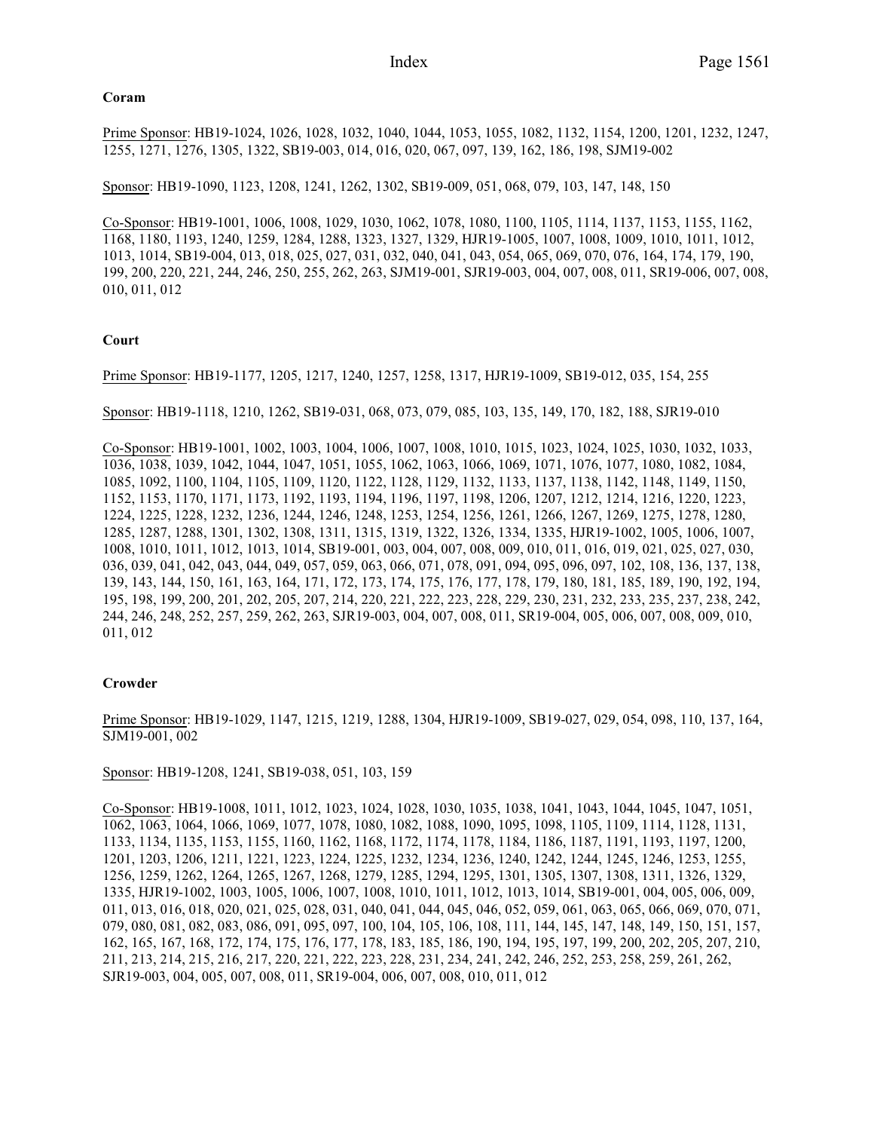## **Coram**

Prime Sponsor: HB19-1024, 1026, 1028, 1032, 1040, 1044, 1053, 1055, 1082, 1132, 1154, 1200, 1201, 1232, 1247, 1255, 1271, 1276, 1305, 1322, SB19-003, 014, 016, 020, 067, 097, 139, 162, 186, 198, SJM19-002

Sponsor: HB19-1090, 1123, 1208, 1241, 1262, 1302, SB19-009, 051, 068, 079, 103, 147, 148, 150

Co-Sponsor: HB19-1001, 1006, 1008, 1029, 1030, 1062, 1078, 1080, 1100, 1105, 1114, 1137, 1153, 1155, 1162, 1168, 1180, 1193, 1240, 1259, 1284, 1288, 1323, 1327, 1329, HJR19-1005, 1007, 1008, 1009, 1010, 1011, 1012, 1013, 1014, SB19-004, 013, 018, 025, 027, 031, 032, 040, 041, 043, 054, 065, 069, 070, 076, 164, 174, 179, 190, 199, 200, 220, 221, 244, 246, 250, 255, 262, 263, SJM19-001, SJR19-003, 004, 007, 008, 011, SR19-006, 007, 008, 010, 011, 012

## **Court**

Prime Sponsor: HB19-1177, 1205, 1217, 1240, 1257, 1258, 1317, HJR19-1009, SB19-012, 035, 154, 255

Sponsor: HB19-1118, 1210, 1262, SB19-031, 068, 073, 079, 085, 103, 135, 149, 170, 182, 188, SJR19-010

Co-Sponsor: HB19-1001, 1002, 1003, 1004, 1006, 1007, 1008, 1010, 1015, 1023, 1024, 1025, 1030, 1032, 1033, 1036, 1038, 1039, 1042, 1044, 1047, 1051, 1055, 1062, 1063, 1066, 1069, 1071, 1076, 1077, 1080, 1082, 1084, 1085, 1092, 1100, 1104, 1105, 1109, 1120, 1122, 1128, 1129, 1132, 1133, 1137, 1138, 1142, 1148, 1149, 1150, 1152, 1153, 1170, 1171, 1173, 1192, 1193, 1194, 1196, 1197, 1198, 1206, 1207, 1212, 1214, 1216, 1220, 1223, 1224, 1225, 1228, 1232, 1236, 1244, 1246, 1248, 1253, 1254, 1256, 1261, 1266, 1267, 1269, 1275, 1278, 1280, 1285, 1287, 1288, 1301, 1302, 1308, 1311, 1315, 1319, 1322, 1326, 1334, 1335, HJR19-1002, 1005, 1006, 1007, 1008, 1010, 1011, 1012, 1013, 1014, SB19-001, 003, 004, 007, 008, 009, 010, 011, 016, 019, 021, 025, 027, 030, 036, 039, 041, 042, 043, 044, 049, 057, 059, 063, 066, 071, 078, 091, 094, 095, 096, 097, 102, 108, 136, 137, 138, 139, 143, 144, 150, 161, 163, 164, 171, 172, 173, 174, 175, 176, 177, 178, 179, 180, 181, 185, 189, 190, 192, 194, 195, 198, 199, 200, 201, 202, 205, 207, 214, 220, 221, 222, 223, 228, 229, 230, 231, 232, 233, 235, 237, 238, 242, 244, 246, 248, 252, 257, 259, 262, 263, SJR19-003, 004, 007, 008, 011, SR19-004, 005, 006, 007, 008, 009, 010, 011, 012

## **Crowder**

Prime Sponsor: HB19-1029, 1147, 1215, 1219, 1288, 1304, HJR19-1009, SB19-027, 029, 054, 098, 110, 137, 164, SJM19-001, 002

Sponsor: HB19-1208, 1241, SB19-038, 051, 103, 159

Co-Sponsor: HB19-1008, 1011, 1012, 1023, 1024, 1028, 1030, 1035, 1038, 1041, 1043, 1044, 1045, 1047, 1051, 1062, 1063, 1064, 1066, 1069, 1077, 1078, 1080, 1082, 1088, 1090, 1095, 1098, 1105, 1109, 1114, 1128, 1131, 1133, 1134, 1135, 1153, 1155, 1160, 1162, 1168, 1172, 1174, 1178, 1184, 1186, 1187, 1191, 1193, 1197, 1200, 1201, 1203, 1206, 1211, 1221, 1223, 1224, 1225, 1232, 1234, 1236, 1240, 1242, 1244, 1245, 1246, 1253, 1255, 1256, 1259, 1262, 1264, 1265, 1267, 1268, 1279, 1285, 1294, 1295, 1301, 1305, 1307, 1308, 1311, 1326, 1329, 1335, HJR19-1002, 1003, 1005, 1006, 1007, 1008, 1010, 1011, 1012, 1013, 1014, SB19-001, 004, 005, 006, 009, 011, 013, 016, 018, 020, 021, 025, 028, 031, 040, 041, 044, 045, 046, 052, 059, 061, 063, 065, 066, 069, 070, 071, 079, 080, 081, 082, 083, 086, 091, 095, 097, 100, 104, 105, 106, 108, 111, 144, 145, 147, 148, 149, 150, 151, 157, 162, 165, 167, 168, 172, 174, 175, 176, 177, 178, 183, 185, 186, 190, 194, 195, 197, 199, 200, 202, 205, 207, 210, 211, 213, 214, 215, 216, 217, 220, 221, 222, 223, 228, 231, 234, 241, 242, 246, 252, 253, 258, 259, 261, 262, SJR19-003, 004, 005, 007, 008, 011, SR19-004, 006, 007, 008, 010, 011, 012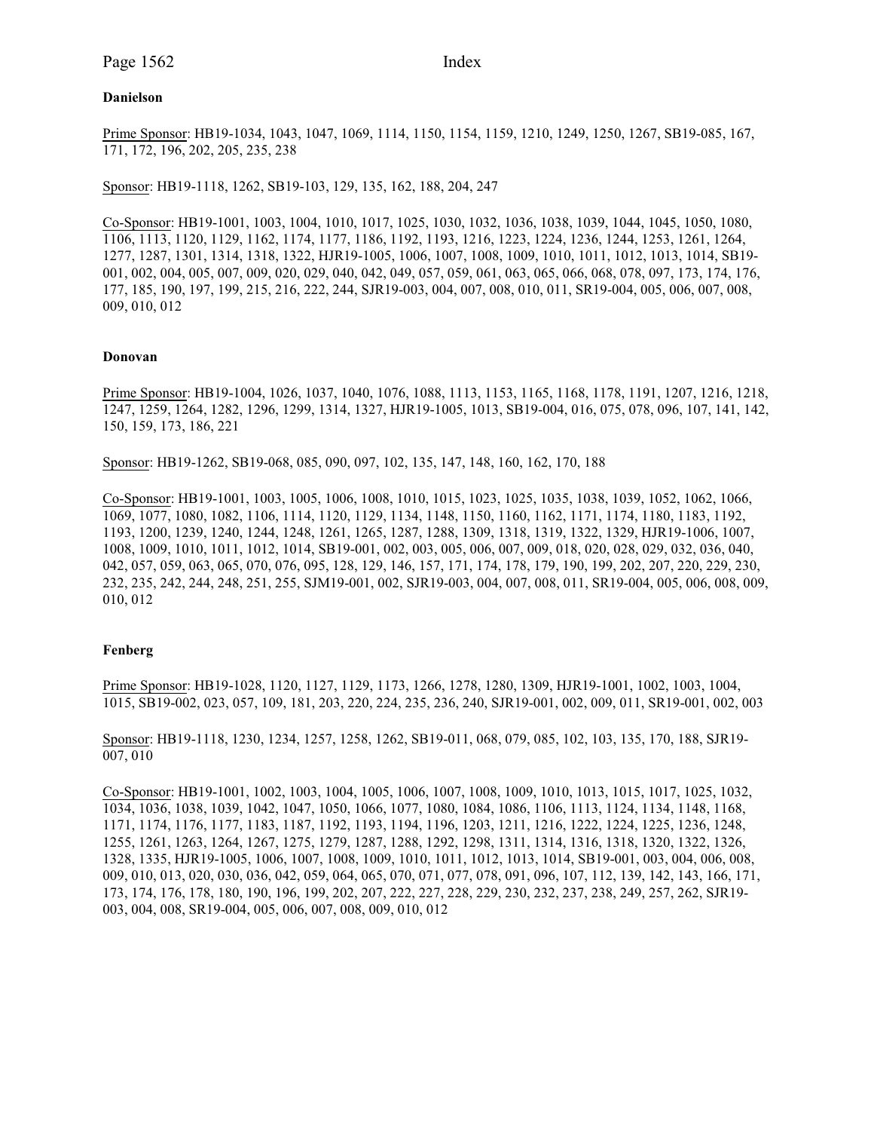Page 1562 Index

### **Danielson**

Prime Sponsor: HB19-1034, 1043, 1047, 1069, 1114, 1150, 1154, 1159, 1210, 1249, 1250, 1267, SB19-085, 167, 171, 172, 196, 202, 205, 235, 238

Sponsor: HB19-1118, 1262, SB19-103, 129, 135, 162, 188, 204, 247

Co-Sponsor: HB19-1001, 1003, 1004, 1010, 1017, 1025, 1030, 1032, 1036, 1038, 1039, 1044, 1045, 1050, 1080, 1106, 1113, 1120, 1129, 1162, 1174, 1177, 1186, 1192, 1193, 1216, 1223, 1224, 1236, 1244, 1253, 1261, 1264, 1277, 1287, 1301, 1314, 1318, 1322, HJR19-1005, 1006, 1007, 1008, 1009, 1010, 1011, 1012, 1013, 1014, SB19- 001, 002, 004, 005, 007, 009, 020, 029, 040, 042, 049, 057, 059, 061, 063, 065, 066, 068, 078, 097, 173, 174, 176, 177, 185, 190, 197, 199, 215, 216, 222, 244, SJR19-003, 004, 007, 008, 010, 011, SR19-004, 005, 006, 007, 008, 009, 010, 012

### **Donovan**

Prime Sponsor: HB19-1004, 1026, 1037, 1040, 1076, 1088, 1113, 1153, 1165, 1168, 1178, 1191, 1207, 1216, 1218, 1247, 1259, 1264, 1282, 1296, 1299, 1314, 1327, HJR19-1005, 1013, SB19-004, 016, 075, 078, 096, 107, 141, 142, 150, 159, 173, 186, 221

Sponsor: HB19-1262, SB19-068, 085, 090, 097, 102, 135, 147, 148, 160, 162, 170, 188

Co-Sponsor: HB19-1001, 1003, 1005, 1006, 1008, 1010, 1015, 1023, 1025, 1035, 1038, 1039, 1052, 1062, 1066, 1069, 1077, 1080, 1082, 1106, 1114, 1120, 1129, 1134, 1148, 1150, 1160, 1162, 1171, 1174, 1180, 1183, 1192, 1193, 1200, 1239, 1240, 1244, 1248, 1261, 1265, 1287, 1288, 1309, 1318, 1319, 1322, 1329, HJR19-1006, 1007, 1008, 1009, 1010, 1011, 1012, 1014, SB19-001, 002, 003, 005, 006, 007, 009, 018, 020, 028, 029, 032, 036, 040, 042, 057, 059, 063, 065, 070, 076, 095, 128, 129, 146, 157, 171, 174, 178, 179, 190, 199, 202, 207, 220, 229, 230, 232, 235, 242, 244, 248, 251, 255, SJM19-001, 002, SJR19-003, 004, 007, 008, 011, SR19-004, 005, 006, 008, 009, 010, 012

### **Fenberg**

Prime Sponsor: HB19-1028, 1120, 1127, 1129, 1173, 1266, 1278, 1280, 1309, HJR19-1001, 1002, 1003, 1004, 1015, SB19-002, 023, 057, 109, 181, 203, 220, 224, 235, 236, 240, SJR19-001, 002, 009, 011, SR19-001, 002, 003

Sponsor: HB19-1118, 1230, 1234, 1257, 1258, 1262, SB19-011, 068, 079, 085, 102, 103, 135, 170, 188, SJR19- 007, 010

Co-Sponsor: HB19-1001, 1002, 1003, 1004, 1005, 1006, 1007, 1008, 1009, 1010, 1013, 1015, 1017, 1025, 1032, 1034, 1036, 1038, 1039, 1042, 1047, 1050, 1066, 1077, 1080, 1084, 1086, 1106, 1113, 1124, 1134, 1148, 1168, 1171, 1174, 1176, 1177, 1183, 1187, 1192, 1193, 1194, 1196, 1203, 1211, 1216, 1222, 1224, 1225, 1236, 1248, 1255, 1261, 1263, 1264, 1267, 1275, 1279, 1287, 1288, 1292, 1298, 1311, 1314, 1316, 1318, 1320, 1322, 1326, 1328, 1335, HJR19-1005, 1006, 1007, 1008, 1009, 1010, 1011, 1012, 1013, 1014, SB19-001, 003, 004, 006, 008, 009, 010, 013, 020, 030, 036, 042, 059, 064, 065, 070, 071, 077, 078, 091, 096, 107, 112, 139, 142, 143, 166, 171, 173, 174, 176, 178, 180, 190, 196, 199, 202, 207, 222, 227, 228, 229, 230, 232, 237, 238, 249, 257, 262, SJR19- 003, 004, 008, SR19-004, 005, 006, 007, 008, 009, 010, 012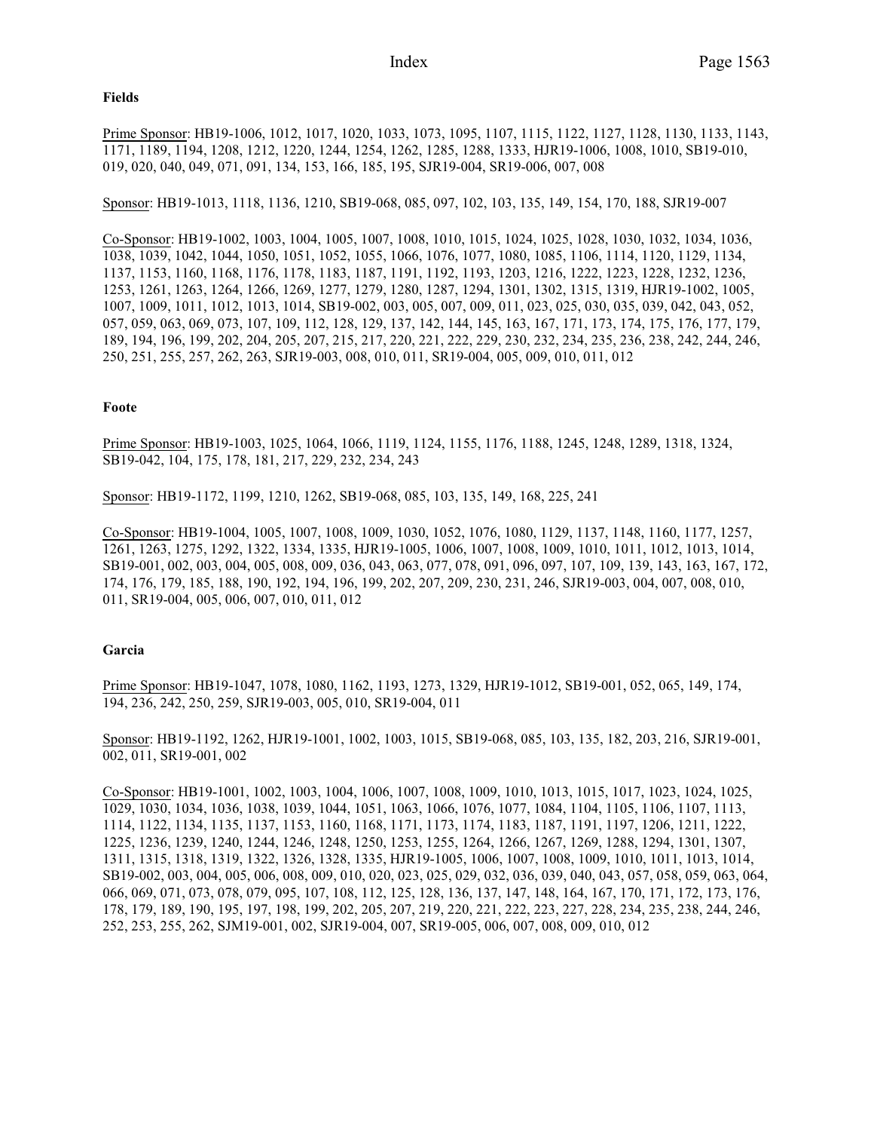### **Fields**

Prime Sponsor: HB19-1006, 1012, 1017, 1020, 1033, 1073, 1095, 1107, 1115, 1122, 1127, 1128, 1130, 1133, 1143, 1171, 1189, 1194, 1208, 1212, 1220, 1244, 1254, 1262, 1285, 1288, 1333, HJR19-1006, 1008, 1010, SB19-010, 019, 020, 040, 049, 071, 091, 134, 153, 166, 185, 195, SJR19-004, SR19-006, 007, 008

Sponsor: HB19-1013, 1118, 1136, 1210, SB19-068, 085, 097, 102, 103, 135, 149, 154, 170, 188, SJR19-007

Co-Sponsor: HB19-1002, 1003, 1004, 1005, 1007, 1008, 1010, 1015, 1024, 1025, 1028, 1030, 1032, 1034, 1036, 1038, 1039, 1042, 1044, 1050, 1051, 1052, 1055, 1066, 1076, 1077, 1080, 1085, 1106, 1114, 1120, 1129, 1134, 1137, 1153, 1160, 1168, 1176, 1178, 1183, 1187, 1191, 1192, 1193, 1203, 1216, 1222, 1223, 1228, 1232, 1236, 1253, 1261, 1263, 1264, 1266, 1269, 1277, 1279, 1280, 1287, 1294, 1301, 1302, 1315, 1319, HJR19-1002, 1005, 1007, 1009, 1011, 1012, 1013, 1014, SB19-002, 003, 005, 007, 009, 011, 023, 025, 030, 035, 039, 042, 043, 052, 057, 059, 063, 069, 073, 107, 109, 112, 128, 129, 137, 142, 144, 145, 163, 167, 171, 173, 174, 175, 176, 177, 179, 189, 194, 196, 199, 202, 204, 205, 207, 215, 217, 220, 221, 222, 229, 230, 232, 234, 235, 236, 238, 242, 244, 246, 250, 251, 255, 257, 262, 263, SJR19-003, 008, 010, 011, SR19-004, 005, 009, 010, 011, 012

## **Foote**

Prime Sponsor: HB19-1003, 1025, 1064, 1066, 1119, 1124, 1155, 1176, 1188, 1245, 1248, 1289, 1318, 1324, SB19-042, 104, 175, 178, 181, 217, 229, 232, 234, 243

Sponsor: HB19-1172, 1199, 1210, 1262, SB19-068, 085, 103, 135, 149, 168, 225, 241

Co-Sponsor: HB19-1004, 1005, 1007, 1008, 1009, 1030, 1052, 1076, 1080, 1129, 1137, 1148, 1160, 1177, 1257, 1261, 1263, 1275, 1292, 1322, 1334, 1335, HJR19-1005, 1006, 1007, 1008, 1009, 1010, 1011, 1012, 1013, 1014, SB19-001, 002, 003, 004, 005, 008, 009, 036, 043, 063, 077, 078, 091, 096, 097, 107, 109, 139, 143, 163, 167, 172, 174, 176, 179, 185, 188, 190, 192, 194, 196, 199, 202, 207, 209, 230, 231, 246, SJR19-003, 004, 007, 008, 010, 011, SR19-004, 005, 006, 007, 010, 011, 012

## **Garcia**

Prime Sponsor: HB19-1047, 1078, 1080, 1162, 1193, 1273, 1329, HJR19-1012, SB19-001, 052, 065, 149, 174, 194, 236, 242, 250, 259, SJR19-003, 005, 010, SR19-004, 011

Sponsor: HB19-1192, 1262, HJR19-1001, 1002, 1003, 1015, SB19-068, 085, 103, 135, 182, 203, 216, SJR19-001, 002, 011, SR19-001, 002

Co-Sponsor: HB19-1001, 1002, 1003, 1004, 1006, 1007, 1008, 1009, 1010, 1013, 1015, 1017, 1023, 1024, 1025, 1029, 1030, 1034, 1036, 1038, 1039, 1044, 1051, 1063, 1066, 1076, 1077, 1084, 1104, 1105, 1106, 1107, 1113, 1114, 1122, 1134, 1135, 1137, 1153, 1160, 1168, 1171, 1173, 1174, 1183, 1187, 1191, 1197, 1206, 1211, 1222, 1225, 1236, 1239, 1240, 1244, 1246, 1248, 1250, 1253, 1255, 1264, 1266, 1267, 1269, 1288, 1294, 1301, 1307, 1311, 1315, 1318, 1319, 1322, 1326, 1328, 1335, HJR19-1005, 1006, 1007, 1008, 1009, 1010, 1011, 1013, 1014, SB19-002, 003, 004, 005, 006, 008, 009, 010, 020, 023, 025, 029, 032, 036, 039, 040, 043, 057, 058, 059, 063, 064, 066, 069, 071, 073, 078, 079, 095, 107, 108, 112, 125, 128, 136, 137, 147, 148, 164, 167, 170, 171, 172, 173, 176, 178, 179, 189, 190, 195, 197, 198, 199, 202, 205, 207, 219, 220, 221, 222, 223, 227, 228, 234, 235, 238, 244, 246, 252, 253, 255, 262, SJM19-001, 002, SJR19-004, 007, SR19-005, 006, 007, 008, 009, 010, 012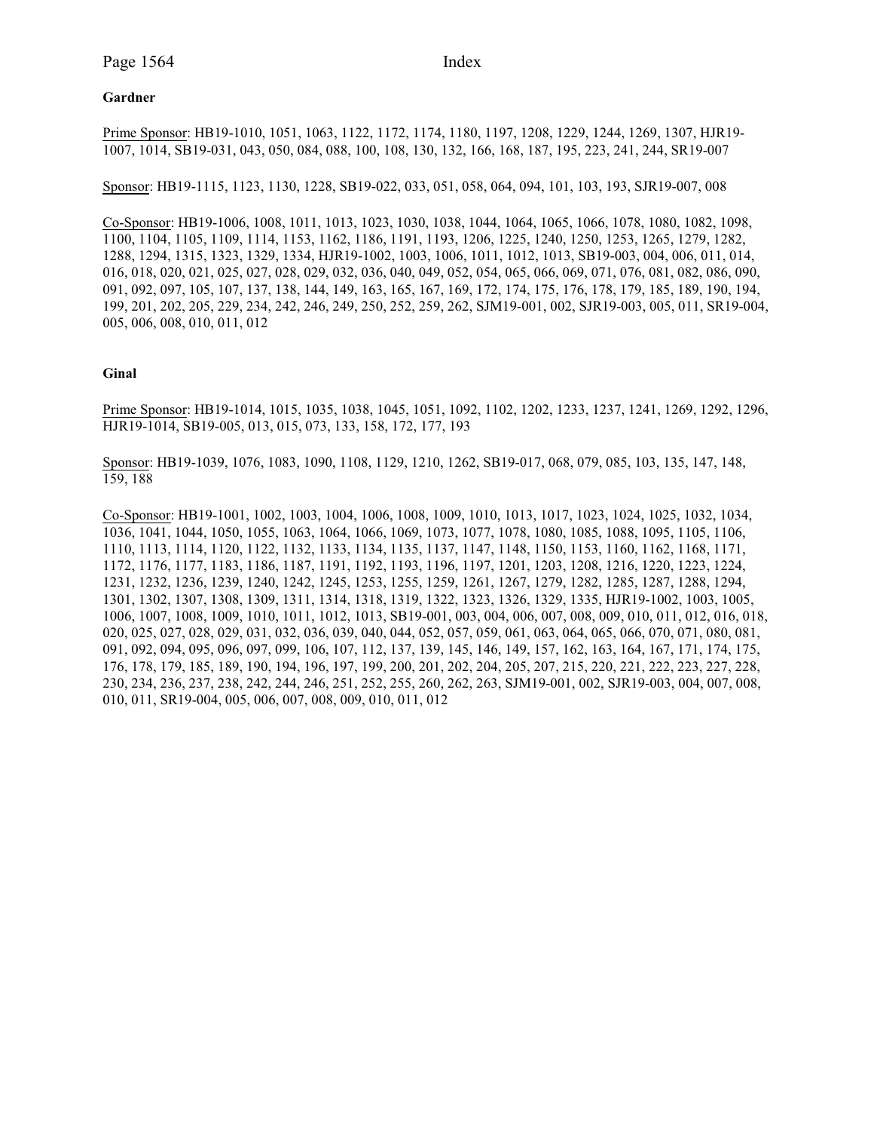# **Gardner**

Prime Sponsor: HB19-1010, 1051, 1063, 1122, 1172, 1174, 1180, 1197, 1208, 1229, 1244, 1269, 1307, HJR19- 1007, 1014, SB19-031, 043, 050, 084, 088, 100, 108, 130, 132, 166, 168, 187, 195, 223, 241, 244, SR19-007

Sponsor: HB19-1115, 1123, 1130, 1228, SB19-022, 033, 051, 058, 064, 094, 101, 103, 193, SJR19-007, 008

Co-Sponsor: HB19-1006, 1008, 1011, 1013, 1023, 1030, 1038, 1044, 1064, 1065, 1066, 1078, 1080, 1082, 1098, 1100, 1104, 1105, 1109, 1114, 1153, 1162, 1186, 1191, 1193, 1206, 1225, 1240, 1250, 1253, 1265, 1279, 1282, 1288, 1294, 1315, 1323, 1329, 1334, HJR19-1002, 1003, 1006, 1011, 1012, 1013, SB19-003, 004, 006, 011, 014, 016, 018, 020, 021, 025, 027, 028, 029, 032, 036, 040, 049, 052, 054, 065, 066, 069, 071, 076, 081, 082, 086, 090, 091, 092, 097, 105, 107, 137, 138, 144, 149, 163, 165, 167, 169, 172, 174, 175, 176, 178, 179, 185, 189, 190, 194, 199, 201, 202, 205, 229, 234, 242, 246, 249, 250, 252, 259, 262, SJM19-001, 002, SJR19-003, 005, 011, SR19-004, 005, 006, 008, 010, 011, 012

## **Ginal**

Prime Sponsor: HB19-1014, 1015, 1035, 1038, 1045, 1051, 1092, 1102, 1202, 1233, 1237, 1241, 1269, 1292, 1296, HJR19-1014, SB19-005, 013, 015, 073, 133, 158, 172, 177, 193

Sponsor: HB19-1039, 1076, 1083, 1090, 1108, 1129, 1210, 1262, SB19-017, 068, 079, 085, 103, 135, 147, 148, 159, 188

Co-Sponsor: HB19-1001, 1002, 1003, 1004, 1006, 1008, 1009, 1010, 1013, 1017, 1023, 1024, 1025, 1032, 1034, 1036, 1041, 1044, 1050, 1055, 1063, 1064, 1066, 1069, 1073, 1077, 1078, 1080, 1085, 1088, 1095, 1105, 1106, 1110, 1113, 1114, 1120, 1122, 1132, 1133, 1134, 1135, 1137, 1147, 1148, 1150, 1153, 1160, 1162, 1168, 1171, 1172, 1176, 1177, 1183, 1186, 1187, 1191, 1192, 1193, 1196, 1197, 1201, 1203, 1208, 1216, 1220, 1223, 1224, 1231, 1232, 1236, 1239, 1240, 1242, 1245, 1253, 1255, 1259, 1261, 1267, 1279, 1282, 1285, 1287, 1288, 1294, 1301, 1302, 1307, 1308, 1309, 1311, 1314, 1318, 1319, 1322, 1323, 1326, 1329, 1335, HJR19-1002, 1003, 1005, 1006, 1007, 1008, 1009, 1010, 1011, 1012, 1013, SB19-001, 003, 004, 006, 007, 008, 009, 010, 011, 012, 016, 018, 020, 025, 027, 028, 029, 031, 032, 036, 039, 040, 044, 052, 057, 059, 061, 063, 064, 065, 066, 070, 071, 080, 081, 091, 092, 094, 095, 096, 097, 099, 106, 107, 112, 137, 139, 145, 146, 149, 157, 162, 163, 164, 167, 171, 174, 175, 176, 178, 179, 185, 189, 190, 194, 196, 197, 199, 200, 201, 202, 204, 205, 207, 215, 220, 221, 222, 223, 227, 228, 230, 234, 236, 237, 238, 242, 244, 246, 251, 252, 255, 260, 262, 263, SJM19-001, 002, SJR19-003, 004, 007, 008, 010, 011, SR19-004, 005, 006, 007, 008, 009, 010, 011, 012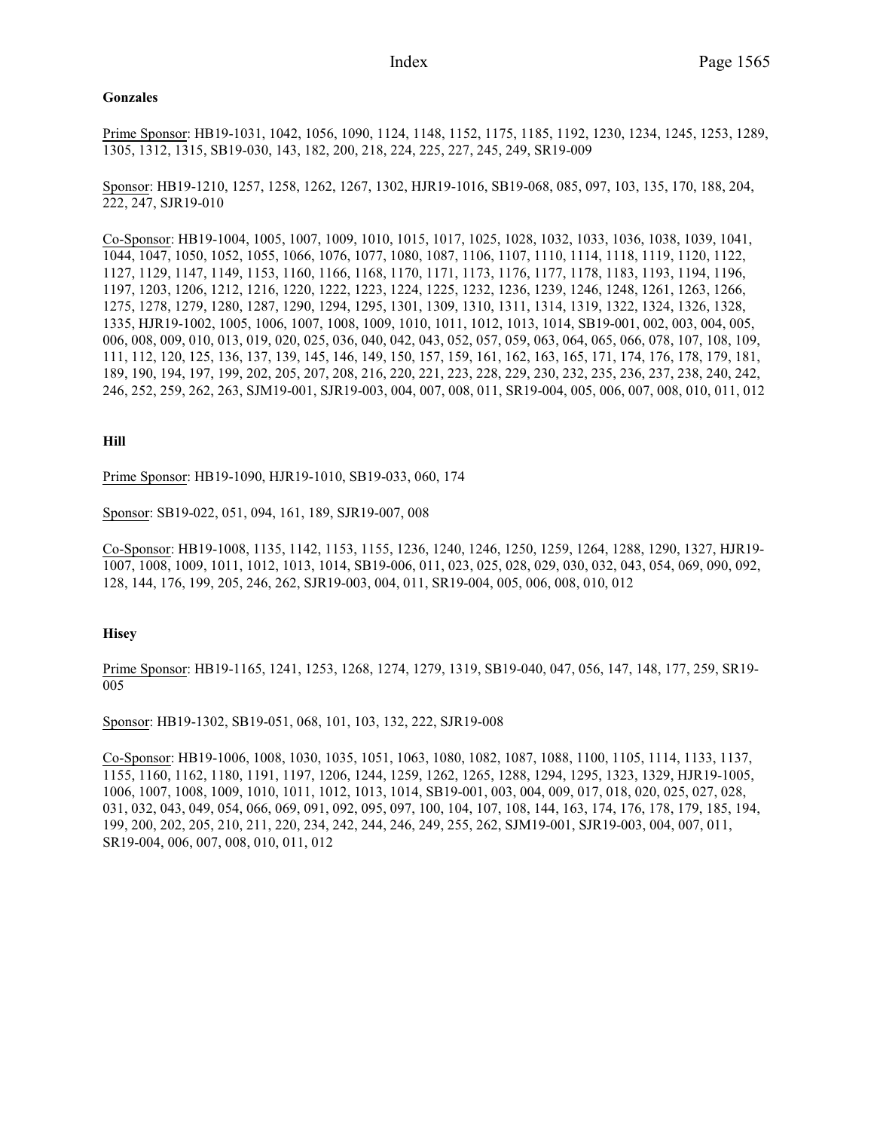#### **Gonzales**

Prime Sponsor: HB19-1031, 1042, 1056, 1090, 1124, 1148, 1152, 1175, 1185, 1192, 1230, 1234, 1245, 1253, 1289, 1305, 1312, 1315, SB19-030, 143, 182, 200, 218, 224, 225, 227, 245, 249, SR19-009

Sponsor: HB19-1210, 1257, 1258, 1262, 1267, 1302, HJR19-1016, SB19-068, 085, 097, 103, 135, 170, 188, 204, 222, 247, SJR19-010

Co-Sponsor: HB19-1004, 1005, 1007, 1009, 1010, 1015, 1017, 1025, 1028, 1032, 1033, 1036, 1038, 1039, 1041, 1044, 1047, 1050, 1052, 1055, 1066, 1076, 1077, 1080, 1087, 1106, 1107, 1110, 1114, 1118, 1119, 1120, 1122, 1127, 1129, 1147, 1149, 1153, 1160, 1166, 1168, 1170, 1171, 1173, 1176, 1177, 1178, 1183, 1193, 1194, 1196, 1197, 1203, 1206, 1212, 1216, 1220, 1222, 1223, 1224, 1225, 1232, 1236, 1239, 1246, 1248, 1261, 1263, 1266, 1275, 1278, 1279, 1280, 1287, 1290, 1294, 1295, 1301, 1309, 1310, 1311, 1314, 1319, 1322, 1324, 1326, 1328, 1335, HJR19-1002, 1005, 1006, 1007, 1008, 1009, 1010, 1011, 1012, 1013, 1014, SB19-001, 002, 003, 004, 005, 006, 008, 009, 010, 013, 019, 020, 025, 036, 040, 042, 043, 052, 057, 059, 063, 064, 065, 066, 078, 107, 108, 109, 111, 112, 120, 125, 136, 137, 139, 145, 146, 149, 150, 157, 159, 161, 162, 163, 165, 171, 174, 176, 178, 179, 181, 189, 190, 194, 197, 199, 202, 205, 207, 208, 216, 220, 221, 223, 228, 229, 230, 232, 235, 236, 237, 238, 240, 242, 246, 252, 259, 262, 263, SJM19-001, SJR19-003, 004, 007, 008, 011, SR19-004, 005, 006, 007, 008, 010, 011, 012

### **Hill**

Prime Sponsor: HB19-1090, HJR19-1010, SB19-033, 060, 174

Sponsor: SB19-022, 051, 094, 161, 189, SJR19-007, 008

Co-Sponsor: HB19-1008, 1135, 1142, 1153, 1155, 1236, 1240, 1246, 1250, 1259, 1264, 1288, 1290, 1327, HJR19- 1007, 1008, 1009, 1011, 1012, 1013, 1014, SB19-006, 011, 023, 025, 028, 029, 030, 032, 043, 054, 069, 090, 092, 128, 144, 176, 199, 205, 246, 262, SJR19-003, 004, 011, SR19-004, 005, 006, 008, 010, 012

#### **Hisey**

Prime Sponsor: HB19-1165, 1241, 1253, 1268, 1274, 1279, 1319, SB19-040, 047, 056, 147, 148, 177, 259, SR19- 005

Sponsor: HB19-1302, SB19-051, 068, 101, 103, 132, 222, SJR19-008

Co-Sponsor: HB19-1006, 1008, 1030, 1035, 1051, 1063, 1080, 1082, 1087, 1088, 1100, 1105, 1114, 1133, 1137, 1155, 1160, 1162, 1180, 1191, 1197, 1206, 1244, 1259, 1262, 1265, 1288, 1294, 1295, 1323, 1329, HJR19-1005, 1006, 1007, 1008, 1009, 1010, 1011, 1012, 1013, 1014, SB19-001, 003, 004, 009, 017, 018, 020, 025, 027, 028, 031, 032, 043, 049, 054, 066, 069, 091, 092, 095, 097, 100, 104, 107, 108, 144, 163, 174, 176, 178, 179, 185, 194, 199, 200, 202, 205, 210, 211, 220, 234, 242, 244, 246, 249, 255, 262, SJM19-001, SJR19-003, 004, 007, 011, SR19-004, 006, 007, 008, 010, 011, 012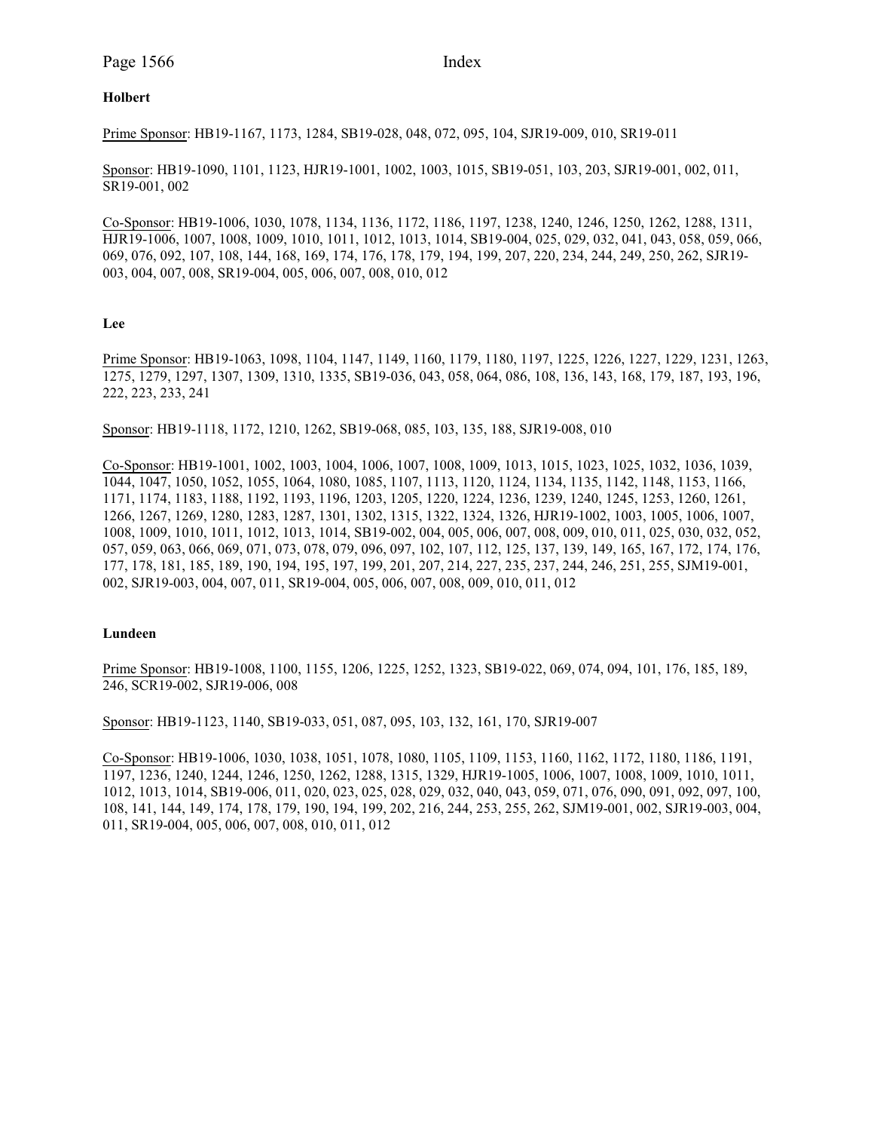# **Holbert**

Prime Sponsor: HB19-1167, 1173, 1284, SB19-028, 048, 072, 095, 104, SJR19-009, 010, SR19-011

Sponsor: HB19-1090, 1101, 1123, HJR19-1001, 1002, 1003, 1015, SB19-051, 103, 203, SJR19-001, 002, 011, SR19-001, 002

Co-Sponsor: HB19-1006, 1030, 1078, 1134, 1136, 1172, 1186, 1197, 1238, 1240, 1246, 1250, 1262, 1288, 1311, HJR19-1006, 1007, 1008, 1009, 1010, 1011, 1012, 1013, 1014, SB19-004, 025, 029, 032, 041, 043, 058, 059, 066, 069, 076, 092, 107, 108, 144, 168, 169, 174, 176, 178, 179, 194, 199, 207, 220, 234, 244, 249, 250, 262, SJR19- 003, 004, 007, 008, SR19-004, 005, 006, 007, 008, 010, 012

### **Lee**

Prime Sponsor: HB19-1063, 1098, 1104, 1147, 1149, 1160, 1179, 1180, 1197, 1225, 1226, 1227, 1229, 1231, 1263, 1275, 1279, 1297, 1307, 1309, 1310, 1335, SB19-036, 043, 058, 064, 086, 108, 136, 143, 168, 179, 187, 193, 196, 222, 223, 233, 241

Sponsor: HB19-1118, 1172, 1210, 1262, SB19-068, 085, 103, 135, 188, SJR19-008, 010

Co-Sponsor: HB19-1001, 1002, 1003, 1004, 1006, 1007, 1008, 1009, 1013, 1015, 1023, 1025, 1032, 1036, 1039, 1044, 1047, 1050, 1052, 1055, 1064, 1080, 1085, 1107, 1113, 1120, 1124, 1134, 1135, 1142, 1148, 1153, 1166, 1171, 1174, 1183, 1188, 1192, 1193, 1196, 1203, 1205, 1220, 1224, 1236, 1239, 1240, 1245, 1253, 1260, 1261, 1266, 1267, 1269, 1280, 1283, 1287, 1301, 1302, 1315, 1322, 1324, 1326, HJR19-1002, 1003, 1005, 1006, 1007, 1008, 1009, 1010, 1011, 1012, 1013, 1014, SB19-002, 004, 005, 006, 007, 008, 009, 010, 011, 025, 030, 032, 052, 057, 059, 063, 066, 069, 071, 073, 078, 079, 096, 097, 102, 107, 112, 125, 137, 139, 149, 165, 167, 172, 174, 176, 177, 178, 181, 185, 189, 190, 194, 195, 197, 199, 201, 207, 214, 227, 235, 237, 244, 246, 251, 255, SJM19-001, 002, SJR19-003, 004, 007, 011, SR19-004, 005, 006, 007, 008, 009, 010, 011, 012

#### **Lundeen**

Prime Sponsor: HB19-1008, 1100, 1155, 1206, 1225, 1252, 1323, SB19-022, 069, 074, 094, 101, 176, 185, 189, 246, SCR19-002, SJR19-006, 008

Sponsor: HB19-1123, 1140, SB19-033, 051, 087, 095, 103, 132, 161, 170, SJR19-007

Co-Sponsor: HB19-1006, 1030, 1038, 1051, 1078, 1080, 1105, 1109, 1153, 1160, 1162, 1172, 1180, 1186, 1191, 1197, 1236, 1240, 1244, 1246, 1250, 1262, 1288, 1315, 1329, HJR19-1005, 1006, 1007, 1008, 1009, 1010, 1011, 1012, 1013, 1014, SB19-006, 011, 020, 023, 025, 028, 029, 032, 040, 043, 059, 071, 076, 090, 091, 092, 097, 100, 108, 141, 144, 149, 174, 178, 179, 190, 194, 199, 202, 216, 244, 253, 255, 262, SJM19-001, 002, SJR19-003, 004, 011, SR19-004, 005, 006, 007, 008, 010, 011, 012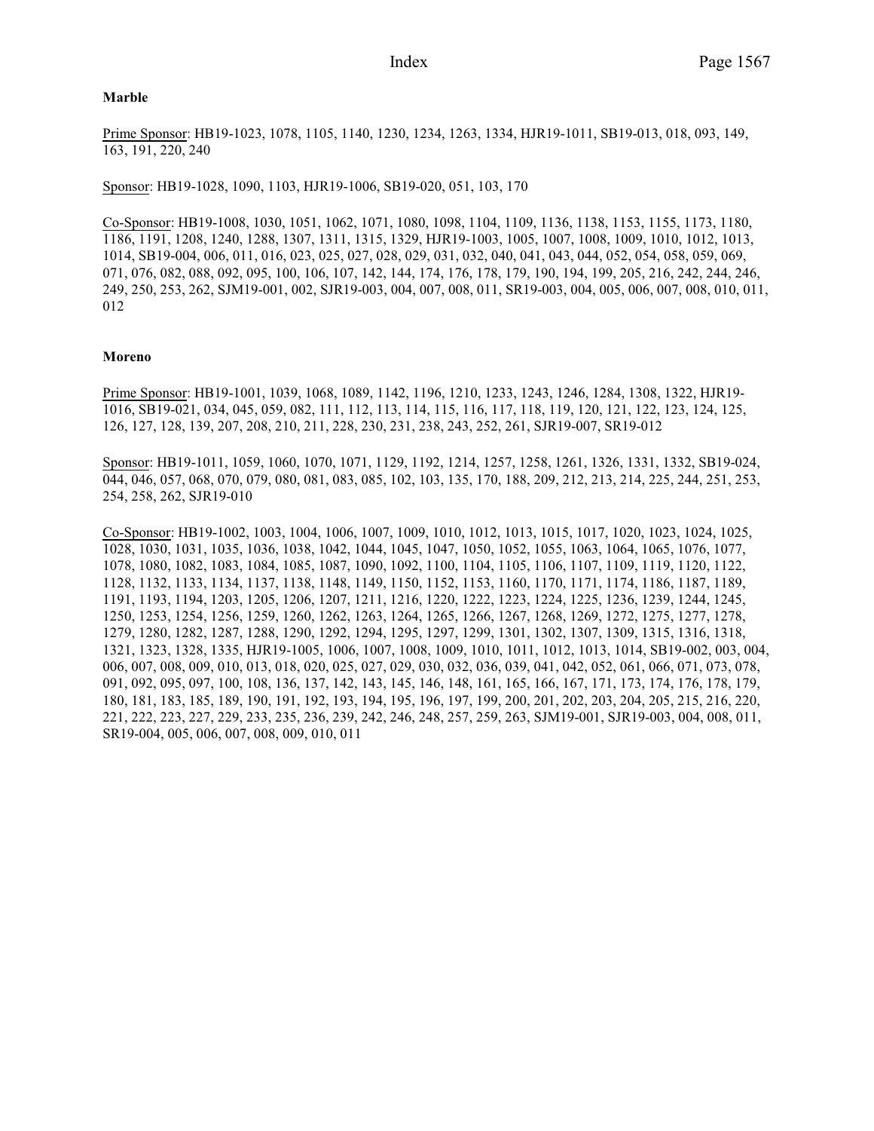## **Marble**

Prime Sponsor: HB19-1023, 1078, 1105, 1140, 1230, 1234, 1263, 1334, HJR19-1011, SB19-013, 018, 093, 149, 163, 191, 220, 240

Sponsor: HB19-1028, 1090, 1103, HJR19-1006, SB19-020, 051, 103, 170

Co-Sponsor: HB19-1008, 1030, 1051, 1062, 1071, 1080, 1098, 1104, 1109, 1136, 1138, 1153, 1155, 1173, 1180, 1186, 1191, 1208, 1240, 1288, 1307, 1311, 1315, 1329, HJR19-1003, 1005, 1007, 1008, 1009, 1010, 1012, 1013, 1014, SB19-004, 006, 011, 016, 023, 025, 027, 028, 029, 031, 032, 040, 041, 043, 044, 052, 054, 058, 059, 069, 071, 076, 082, 088, 092, 095, 100, 106, 107, 142, 144, 174, 176, 178, 179, 190, 194, 199, 205, 216, 242, 244, 246, 249, 250, 253, 262, SJM19-001, 002, SJR19-003, 004, 007, 008, 011, SR19-003, 004, 005, 006, 007, 008, 010, 011, 012

## **Moreno**

Prime Sponsor: HB19-1001, 1039, 1068, 1089, 1142, 1196, 1210, 1233, 1243, 1246, 1284, 1308, 1322, HJR19- 1016, SB19-021, 034, 045, 059, 082, 111, 112, 113, 114, 115, 116, 117, 118, 119, 120, 121, 122, 123, 124, 125, 126, 127, 128, 139, 207, 208, 210, 211, 228, 230, 231, 238, 243, 252, 261, SJR19-007, SR19-012

Sponsor: HB19-1011, 1059, 1060, 1070, 1071, 1129, 1192, 1214, 1257, 1258, 1261, 1326, 1331, 1332, SB19-024, 044, 046, 057, 068, 070, 079, 080, 081, 083, 085, 102, 103, 135, 170, 188, 209, 212, 213, 214, 225, 244, 251, 253, 254, 258, 262, SJR19-010

Co-Sponsor: HB19-1002, 1003, 1004, 1006, 1007, 1009, 1010, 1012, 1013, 1015, 1017, 1020, 1023, 1024, 1025, 1028, 1030, 1031, 1035, 1036, 1038, 1042, 1044, 1045, 1047, 1050, 1052, 1055, 1063, 1064, 1065, 1076, 1077, 1078, 1080, 1082, 1083, 1084, 1085, 1087, 1090, 1092, 1100, 1104, 1105, 1106, 1107, 1109, 1119, 1120, 1122, 1128, 1132, 1133, 1134, 1137, 1138, 1148, 1149, 1150, 1152, 1153, 1160, 1170, 1171, 1174, 1186, 1187, 1189, 1191, 1193, 1194, 1203, 1205, 1206, 1207, 1211, 1216, 1220, 1222, 1223, 1224, 1225, 1236, 1239, 1244, 1245, 1250, 1253, 1254, 1256, 1259, 1260, 1262, 1263, 1264, 1265, 1266, 1267, 1268, 1269, 1272, 1275, 1277, 1278, 1279, 1280, 1282, 1287, 1288, 1290, 1292, 1294, 1295, 1297, 1299, 1301, 1302, 1307, 1309, 1315, 1316, 1318, 1321, 1323, 1328, 1335, HJR19-1005, 1006, 1007, 1008, 1009, 1010, 1011, 1012, 1013, 1014, SB19-002, 003, 004, 006, 007, 008, 009, 010, 013, 018, 020, 025, 027, 029, 030, 032, 036, 039, 041, 042, 052, 061, 066, 071, 073, 078, 091, 092, 095, 097, 100, 108, 136, 137, 142, 143, 145, 146, 148, 161, 165, 166, 167, 171, 173, 174, 176, 178, 179, 180, 181, 183, 185, 189, 190, 191, 192, 193, 194, 195, 196, 197, 199, 200, 201, 202, 203, 204, 205, 215, 216, 220, 221, 222, 223, 227, 229, 233, 235, 236, 239, 242, 246, 248, 257, 259, 263, SJM19-001, SJR19-003, 004, 008, 011, SR19-004, 005, 006, 007, 008, 009, 010, 011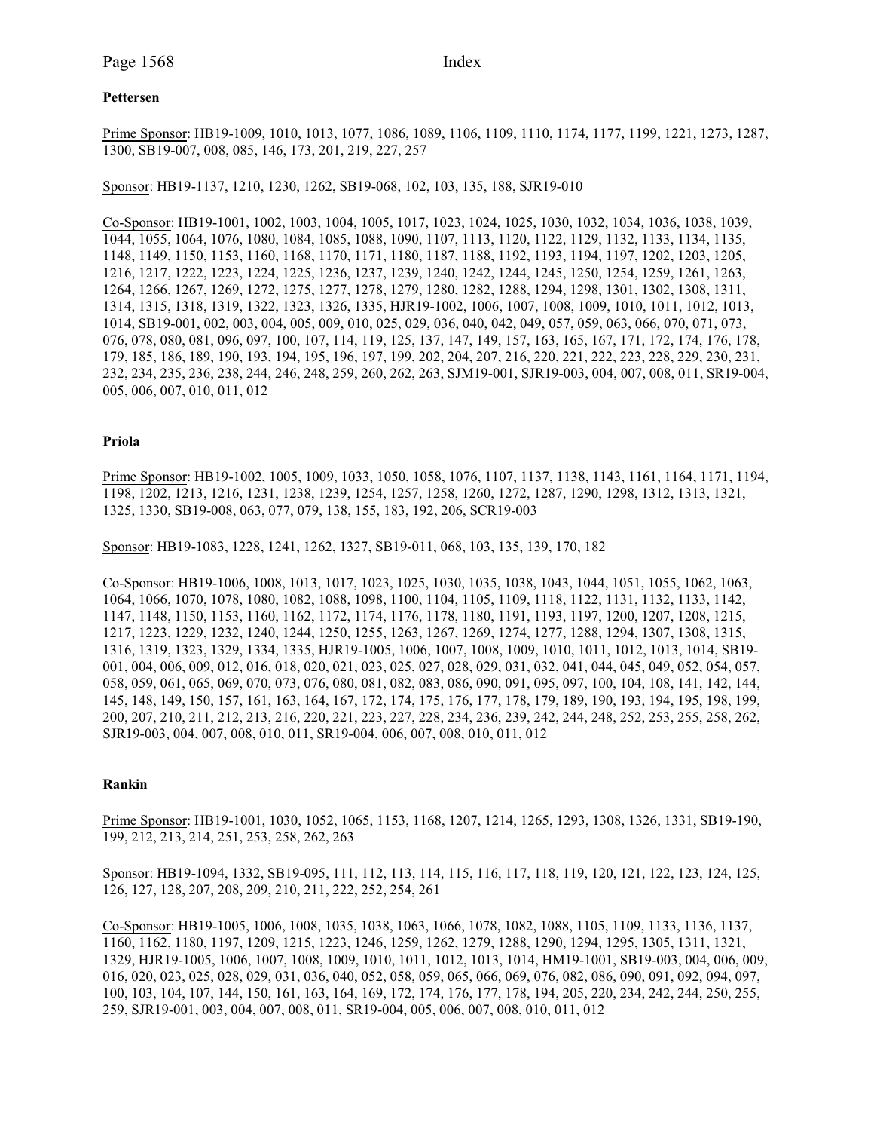# **Pettersen**

Prime Sponsor: HB19-1009, 1010, 1013, 1077, 1086, 1089, 1106, 1109, 1110, 1174, 1177, 1199, 1221, 1273, 1287, 1300, SB19-007, 008, 085, 146, 173, 201, 219, 227, 257

Sponsor: HB19-1137, 1210, 1230, 1262, SB19-068, 102, 103, 135, 188, SJR19-010

Co-Sponsor: HB19-1001, 1002, 1003, 1004, 1005, 1017, 1023, 1024, 1025, 1030, 1032, 1034, 1036, 1038, 1039, 1044, 1055, 1064, 1076, 1080, 1084, 1085, 1088, 1090, 1107, 1113, 1120, 1122, 1129, 1132, 1133, 1134, 1135, 1148, 1149, 1150, 1153, 1160, 1168, 1170, 1171, 1180, 1187, 1188, 1192, 1193, 1194, 1197, 1202, 1203, 1205, 1216, 1217, 1222, 1223, 1224, 1225, 1236, 1237, 1239, 1240, 1242, 1244, 1245, 1250, 1254, 1259, 1261, 1263, 1264, 1266, 1267, 1269, 1272, 1275, 1277, 1278, 1279, 1280, 1282, 1288, 1294, 1298, 1301, 1302, 1308, 1311, 1314, 1315, 1318, 1319, 1322, 1323, 1326, 1335, HJR19-1002, 1006, 1007, 1008, 1009, 1010, 1011, 1012, 1013, 1014, SB19-001, 002, 003, 004, 005, 009, 010, 025, 029, 036, 040, 042, 049, 057, 059, 063, 066, 070, 071, 073, 076, 078, 080, 081, 096, 097, 100, 107, 114, 119, 125, 137, 147, 149, 157, 163, 165, 167, 171, 172, 174, 176, 178, 179, 185, 186, 189, 190, 193, 194, 195, 196, 197, 199, 202, 204, 207, 216, 220, 221, 222, 223, 228, 229, 230, 231, 232, 234, 235, 236, 238, 244, 246, 248, 259, 260, 262, 263, SJM19-001, SJR19-003, 004, 007, 008, 011, SR19-004, 005, 006, 007, 010, 011, 012

### **Priola**

Prime Sponsor: HB19-1002, 1005, 1009, 1033, 1050, 1058, 1076, 1107, 1137, 1138, 1143, 1161, 1164, 1171, 1194, 1198, 1202, 1213, 1216, 1231, 1238, 1239, 1254, 1257, 1258, 1260, 1272, 1287, 1290, 1298, 1312, 1313, 1321, 1325, 1330, SB19-008, 063, 077, 079, 138, 155, 183, 192, 206, SCR19-003

Sponsor: HB19-1083, 1228, 1241, 1262, 1327, SB19-011, 068, 103, 135, 139, 170, 182

Co-Sponsor: HB19-1006, 1008, 1013, 1017, 1023, 1025, 1030, 1035, 1038, 1043, 1044, 1051, 1055, 1062, 1063, 1064, 1066, 1070, 1078, 1080, 1082, 1088, 1098, 1100, 1104, 1105, 1109, 1118, 1122, 1131, 1132, 1133, 1142, 1147, 1148, 1150, 1153, 1160, 1162, 1172, 1174, 1176, 1178, 1180, 1191, 1193, 1197, 1200, 1207, 1208, 1215, 1217, 1223, 1229, 1232, 1240, 1244, 1250, 1255, 1263, 1267, 1269, 1274, 1277, 1288, 1294, 1307, 1308, 1315, 1316, 1319, 1323, 1329, 1334, 1335, HJR19-1005, 1006, 1007, 1008, 1009, 1010, 1011, 1012, 1013, 1014, SB19- 001, 004, 006, 009, 012, 016, 018, 020, 021, 023, 025, 027, 028, 029, 031, 032, 041, 044, 045, 049, 052, 054, 057, 058, 059, 061, 065, 069, 070, 073, 076, 080, 081, 082, 083, 086, 090, 091, 095, 097, 100, 104, 108, 141, 142, 144, 145, 148, 149, 150, 157, 161, 163, 164, 167, 172, 174, 175, 176, 177, 178, 179, 189, 190, 193, 194, 195, 198, 199, 200, 207, 210, 211, 212, 213, 216, 220, 221, 223, 227, 228, 234, 236, 239, 242, 244, 248, 252, 253, 255, 258, 262, SJR19-003, 004, 007, 008, 010, 011, SR19-004, 006, 007, 008, 010, 011, 012

# **Rankin**

Prime Sponsor: HB19-1001, 1030, 1052, 1065, 1153, 1168, 1207, 1214, 1265, 1293, 1308, 1326, 1331, SB19-190, 199, 212, 213, 214, 251, 253, 258, 262, 263

Sponsor: HB19-1094, 1332, SB19-095, 111, 112, 113, 114, 115, 116, 117, 118, 119, 120, 121, 122, 123, 124, 125, 126, 127, 128, 207, 208, 209, 210, 211, 222, 252, 254, 261

Co-Sponsor: HB19-1005, 1006, 1008, 1035, 1038, 1063, 1066, 1078, 1082, 1088, 1105, 1109, 1133, 1136, 1137, 1160, 1162, 1180, 1197, 1209, 1215, 1223, 1246, 1259, 1262, 1279, 1288, 1290, 1294, 1295, 1305, 1311, 1321, 1329, HJR19-1005, 1006, 1007, 1008, 1009, 1010, 1011, 1012, 1013, 1014, HM19-1001, SB19-003, 004, 006, 009, 016, 020, 023, 025, 028, 029, 031, 036, 040, 052, 058, 059, 065, 066, 069, 076, 082, 086, 090, 091, 092, 094, 097, 100, 103, 104, 107, 144, 150, 161, 163, 164, 169, 172, 174, 176, 177, 178, 194, 205, 220, 234, 242, 244, 250, 255, 259, SJR19-001, 003, 004, 007, 008, 011, SR19-004, 005, 006, 007, 008, 010, 011, 012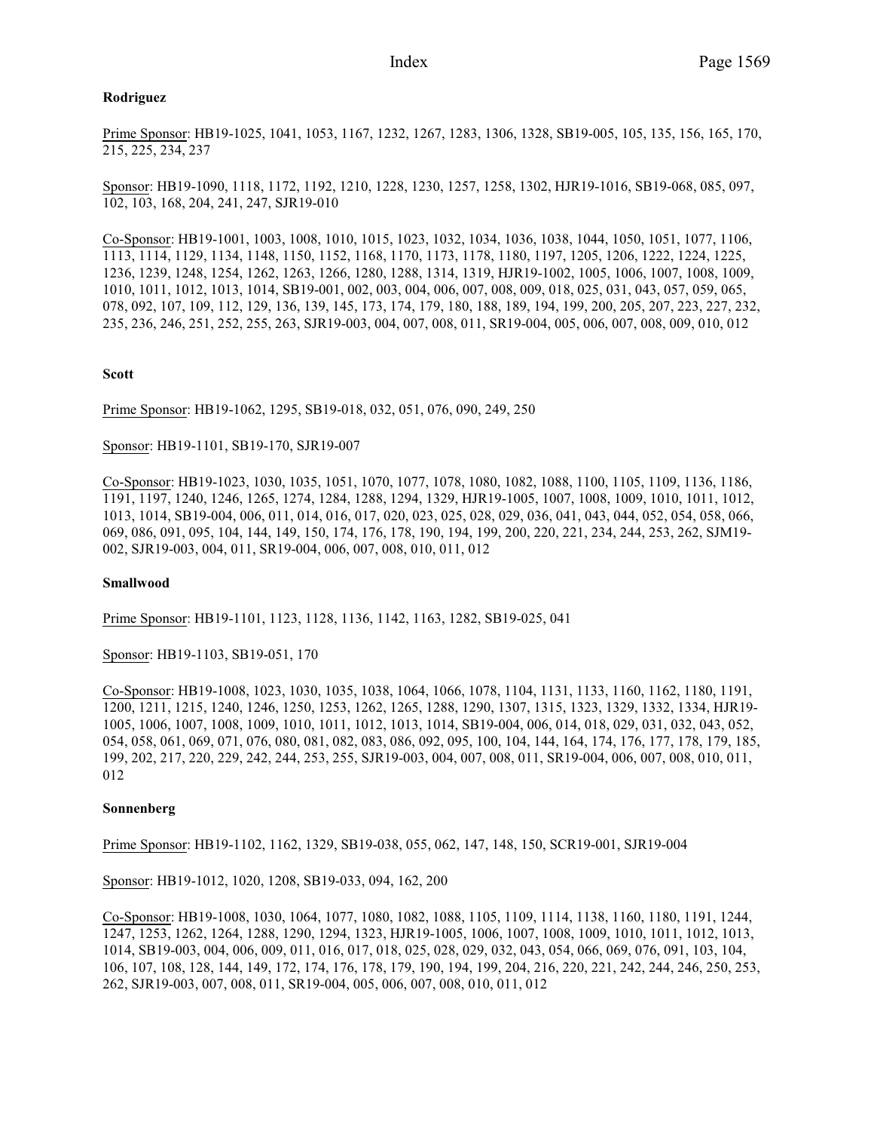## **Rodriguez**

Prime Sponsor: HB19-1025, 1041, 1053, 1167, 1232, 1267, 1283, 1306, 1328, SB19-005, 105, 135, 156, 165, 170, 215, 225, 234, 237

Sponsor: HB19-1090, 1118, 1172, 1192, 1210, 1228, 1230, 1257, 1258, 1302, HJR19-1016, SB19-068, 085, 097, 102, 103, 168, 204, 241, 247, SJR19-010

Co-Sponsor: HB19-1001, 1003, 1008, 1010, 1015, 1023, 1032, 1034, 1036, 1038, 1044, 1050, 1051, 1077, 1106, 1113, 1114, 1129, 1134, 1148, 1150, 1152, 1168, 1170, 1173, 1178, 1180, 1197, 1205, 1206, 1222, 1224, 1225, 1236, 1239, 1248, 1254, 1262, 1263, 1266, 1280, 1288, 1314, 1319, HJR19-1002, 1005, 1006, 1007, 1008, 1009, 1010, 1011, 1012, 1013, 1014, SB19-001, 002, 003, 004, 006, 007, 008, 009, 018, 025, 031, 043, 057, 059, 065, 078, 092, 107, 109, 112, 129, 136, 139, 145, 173, 174, 179, 180, 188, 189, 194, 199, 200, 205, 207, 223, 227, 232, 235, 236, 246, 251, 252, 255, 263, SJR19-003, 004, 007, 008, 011, SR19-004, 005, 006, 007, 008, 009, 010, 012

### **Scott**

Prime Sponsor: HB19-1062, 1295, SB19-018, 032, 051, 076, 090, 249, 250

### Sponsor: HB19-1101, SB19-170, SJR19-007

Co-Sponsor: HB19-1023, 1030, 1035, 1051, 1070, 1077, 1078, 1080, 1082, 1088, 1100, 1105, 1109, 1136, 1186, 1191, 1197, 1240, 1246, 1265, 1274, 1284, 1288, 1294, 1329, HJR19-1005, 1007, 1008, 1009, 1010, 1011, 1012, 1013, 1014, SB19-004, 006, 011, 014, 016, 017, 020, 023, 025, 028, 029, 036, 041, 043, 044, 052, 054, 058, 066, 069, 086, 091, 095, 104, 144, 149, 150, 174, 176, 178, 190, 194, 199, 200, 220, 221, 234, 244, 253, 262, SJM19- 002, SJR19-003, 004, 011, SR19-004, 006, 007, 008, 010, 011, 012

#### **Smallwood**

Prime Sponsor: HB19-1101, 1123, 1128, 1136, 1142, 1163, 1282, SB19-025, 041

Sponsor: HB19-1103, SB19-051, 170

Co-Sponsor: HB19-1008, 1023, 1030, 1035, 1038, 1064, 1066, 1078, 1104, 1131, 1133, 1160, 1162, 1180, 1191, 1200, 1211, 1215, 1240, 1246, 1250, 1253, 1262, 1265, 1288, 1290, 1307, 1315, 1323, 1329, 1332, 1334, HJR19- 1005, 1006, 1007, 1008, 1009, 1010, 1011, 1012, 1013, 1014, SB19-004, 006, 014, 018, 029, 031, 032, 043, 052, 054, 058, 061, 069, 071, 076, 080, 081, 082, 083, 086, 092, 095, 100, 104, 144, 164, 174, 176, 177, 178, 179, 185, 199, 202, 217, 220, 229, 242, 244, 253, 255, SJR19-003, 004, 007, 008, 011, SR19-004, 006, 007, 008, 010, 011, 012

#### **Sonnenberg**

Prime Sponsor: HB19-1102, 1162, 1329, SB19-038, 055, 062, 147, 148, 150, SCR19-001, SJR19-004

Sponsor: HB19-1012, 1020, 1208, SB19-033, 094, 162, 200

Co-Sponsor: HB19-1008, 1030, 1064, 1077, 1080, 1082, 1088, 1105, 1109, 1114, 1138, 1160, 1180, 1191, 1244, 1247, 1253, 1262, 1264, 1288, 1290, 1294, 1323, HJR19-1005, 1006, 1007, 1008, 1009, 1010, 1011, 1012, 1013, 1014, SB19-003, 004, 006, 009, 011, 016, 017, 018, 025, 028, 029, 032, 043, 054, 066, 069, 076, 091, 103, 104, 106, 107, 108, 128, 144, 149, 172, 174, 176, 178, 179, 190, 194, 199, 204, 216, 220, 221, 242, 244, 246, 250, 253, 262, SJR19-003, 007, 008, 011, SR19-004, 005, 006, 007, 008, 010, 011, 012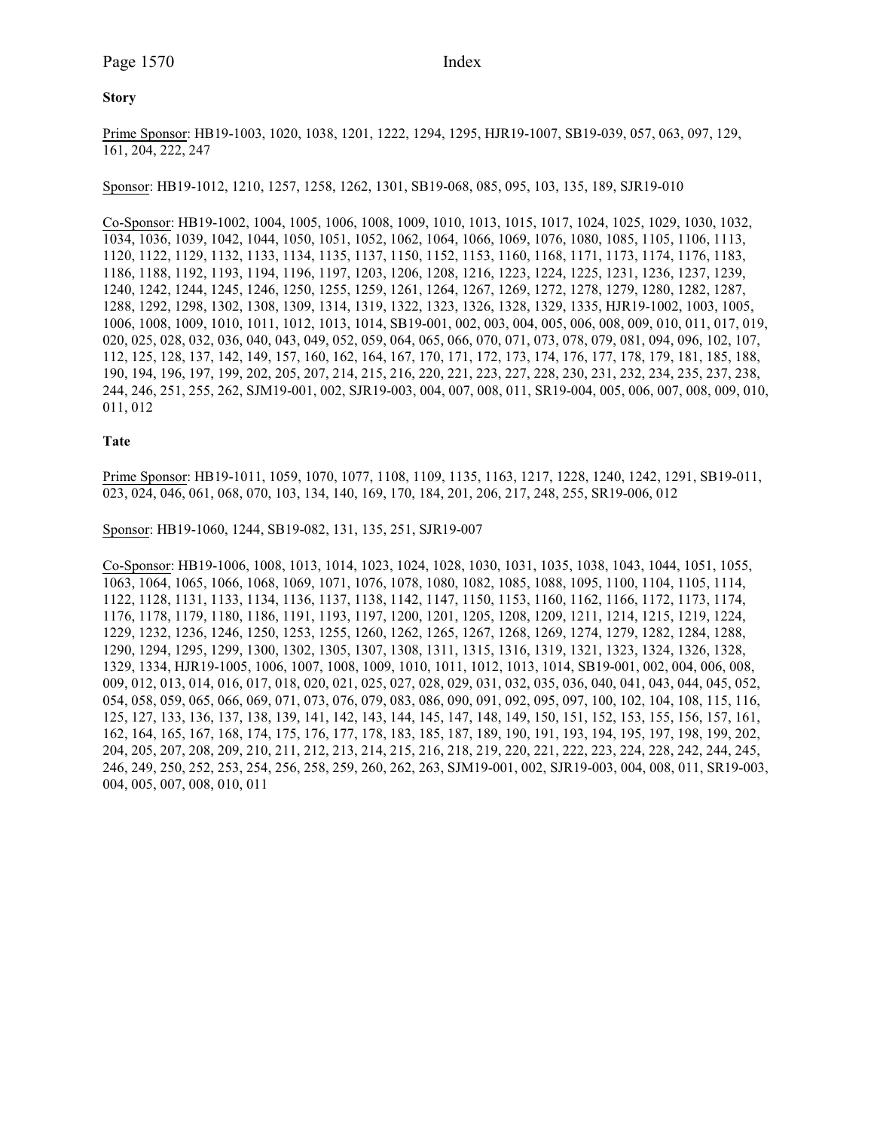#### **Story**

Prime Sponsor: HB19-1003, 1020, 1038, 1201, 1222, 1294, 1295, HJR19-1007, SB19-039, 057, 063, 097, 129, 161, 204, 222, 247

Sponsor: HB19-1012, 1210, 1257, 1258, 1262, 1301, SB19-068, 085, 095, 103, 135, 189, SJR19-010

Co-Sponsor: HB19-1002, 1004, 1005, 1006, 1008, 1009, 1010, 1013, 1015, 1017, 1024, 1025, 1029, 1030, 1032, 1034, 1036, 1039, 1042, 1044, 1050, 1051, 1052, 1062, 1064, 1066, 1069, 1076, 1080, 1085, 1105, 1106, 1113, 1120, 1122, 1129, 1132, 1133, 1134, 1135, 1137, 1150, 1152, 1153, 1160, 1168, 1171, 1173, 1174, 1176, 1183, 1186, 1188, 1192, 1193, 1194, 1196, 1197, 1203, 1206, 1208, 1216, 1223, 1224, 1225, 1231, 1236, 1237, 1239, 1240, 1242, 1244, 1245, 1246, 1250, 1255, 1259, 1261, 1264, 1267, 1269, 1272, 1278, 1279, 1280, 1282, 1287, 1288, 1292, 1298, 1302, 1308, 1309, 1314, 1319, 1322, 1323, 1326, 1328, 1329, 1335, HJR19-1002, 1003, 1005, 1006, 1008, 1009, 1010, 1011, 1012, 1013, 1014, SB19-001, 002, 003, 004, 005, 006, 008, 009, 010, 011, 017, 019, 020, 025, 028, 032, 036, 040, 043, 049, 052, 059, 064, 065, 066, 070, 071, 073, 078, 079, 081, 094, 096, 102, 107, 112, 125, 128, 137, 142, 149, 157, 160, 162, 164, 167, 170, 171, 172, 173, 174, 176, 177, 178, 179, 181, 185, 188, 190, 194, 196, 197, 199, 202, 205, 207, 214, 215, 216, 220, 221, 223, 227, 228, 230, 231, 232, 234, 235, 237, 238, 244, 246, 251, 255, 262, SJM19-001, 002, SJR19-003, 004, 007, 008, 011, SR19-004, 005, 006, 007, 008, 009, 010, 011, 012

#### **Tate**

Prime Sponsor: HB19-1011, 1059, 1070, 1077, 1108, 1109, 1135, 1163, 1217, 1228, 1240, 1242, 1291, SB19-011, 023, 024, 046, 061, 068, 070, 103, 134, 140, 169, 170, 184, 201, 206, 217, 248, 255, SR19-006, 012

Sponsor: HB19-1060, 1244, SB19-082, 131, 135, 251, SJR19-007

Co-Sponsor: HB19-1006, 1008, 1013, 1014, 1023, 1024, 1028, 1030, 1031, 1035, 1038, 1043, 1044, 1051, 1055, 1063, 1064, 1065, 1066, 1068, 1069, 1071, 1076, 1078, 1080, 1082, 1085, 1088, 1095, 1100, 1104, 1105, 1114, 1122, 1128, 1131, 1133, 1134, 1136, 1137, 1138, 1142, 1147, 1150, 1153, 1160, 1162, 1166, 1172, 1173, 1174, 1176, 1178, 1179, 1180, 1186, 1191, 1193, 1197, 1200, 1201, 1205, 1208, 1209, 1211, 1214, 1215, 1219, 1224, 1229, 1232, 1236, 1246, 1250, 1253, 1255, 1260, 1262, 1265, 1267, 1268, 1269, 1274, 1279, 1282, 1284, 1288, 1290, 1294, 1295, 1299, 1300, 1302, 1305, 1307, 1308, 1311, 1315, 1316, 1319, 1321, 1323, 1324, 1326, 1328, 1329, 1334, HJR19-1005, 1006, 1007, 1008, 1009, 1010, 1011, 1012, 1013, 1014, SB19-001, 002, 004, 006, 008, 009, 012, 013, 014, 016, 017, 018, 020, 021, 025, 027, 028, 029, 031, 032, 035, 036, 040, 041, 043, 044, 045, 052, 054, 058, 059, 065, 066, 069, 071, 073, 076, 079, 083, 086, 090, 091, 092, 095, 097, 100, 102, 104, 108, 115, 116, 125, 127, 133, 136, 137, 138, 139, 141, 142, 143, 144, 145, 147, 148, 149, 150, 151, 152, 153, 155, 156, 157, 161, 162, 164, 165, 167, 168, 174, 175, 176, 177, 178, 183, 185, 187, 189, 190, 191, 193, 194, 195, 197, 198, 199, 202, 204, 205, 207, 208, 209, 210, 211, 212, 213, 214, 215, 216, 218, 219, 220, 221, 222, 223, 224, 228, 242, 244, 245, 246, 249, 250, 252, 253, 254, 256, 258, 259, 260, 262, 263, SJM19-001, 002, SJR19-003, 004, 008, 011, SR19-003, 004, 005, 007, 008, 010, 011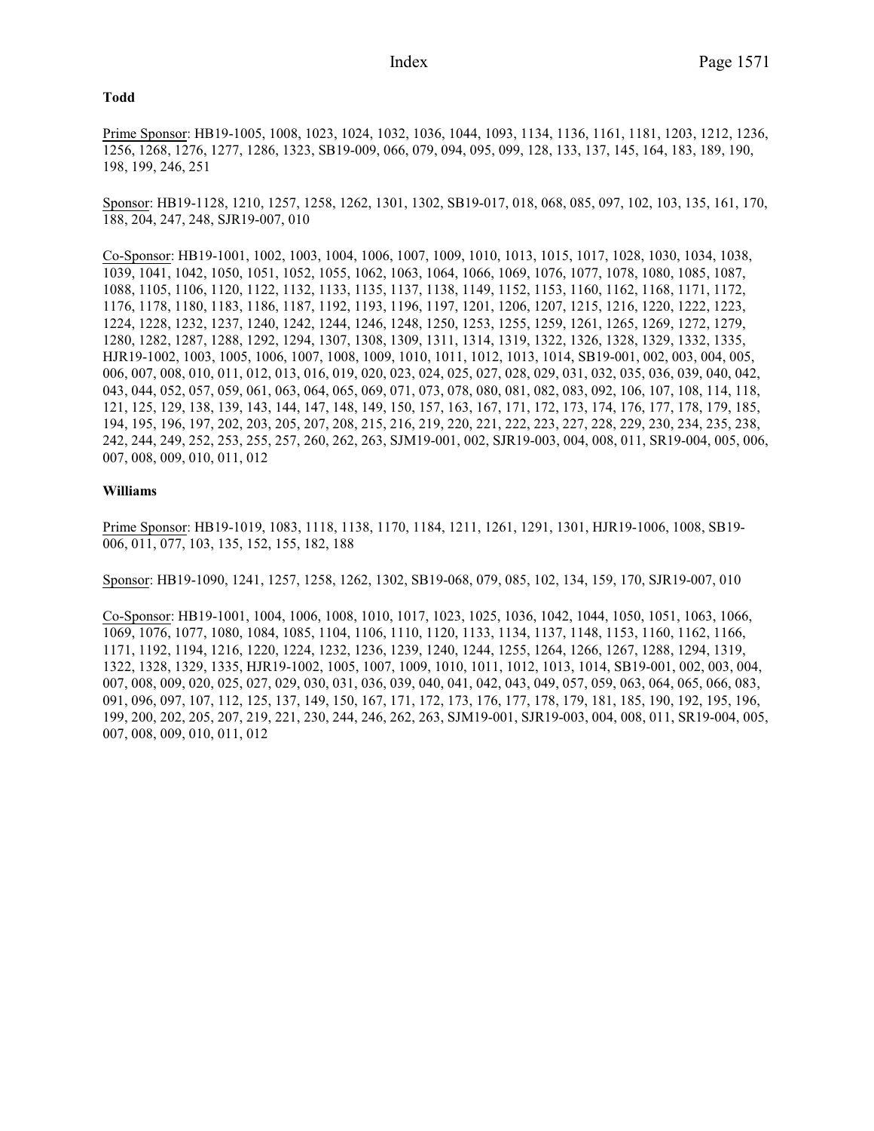#### **Todd**

Prime Sponsor: HB19-1005, 1008, 1023, 1024, 1032, 1036, 1044, 1093, 1134, 1136, 1161, 1181, 1203, 1212, 1236, 1256, 1268, 1276, 1277, 1286, 1323, SB19-009, 066, 079, 094, 095, 099, 128, 133, 137, 145, 164, 183, 189, 190, 198, 199, 246, 251

Sponsor: HB19-1128, 1210, 1257, 1258, 1262, 1301, 1302, SB19-017, 018, 068, 085, 097, 102, 103, 135, 161, 170, 188, 204, 247, 248, SJR19-007, 010

Co-Sponsor: HB19-1001, 1002, 1003, 1004, 1006, 1007, 1009, 1010, 1013, 1015, 1017, 1028, 1030, 1034, 1038, 1039, 1041, 1042, 1050, 1051, 1052, 1055, 1062, 1063, 1064, 1066, 1069, 1076, 1077, 1078, 1080, 1085, 1087, 1088, 1105, 1106, 1120, 1122, 1132, 1133, 1135, 1137, 1138, 1149, 1152, 1153, 1160, 1162, 1168, 1171, 1172, 1176, 1178, 1180, 1183, 1186, 1187, 1192, 1193, 1196, 1197, 1201, 1206, 1207, 1215, 1216, 1220, 1222, 1223, 1224, 1228, 1232, 1237, 1240, 1242, 1244, 1246, 1248, 1250, 1253, 1255, 1259, 1261, 1265, 1269, 1272, 1279, 1280, 1282, 1287, 1288, 1292, 1294, 1307, 1308, 1309, 1311, 1314, 1319, 1322, 1326, 1328, 1329, 1332, 1335, HJR19-1002, 1003, 1005, 1006, 1007, 1008, 1009, 1010, 1011, 1012, 1013, 1014, SB19-001, 002, 003, 004, 005, 006, 007, 008, 010, 011, 012, 013, 016, 019, 020, 023, 024, 025, 027, 028, 029, 031, 032, 035, 036, 039, 040, 042, 043, 044, 052, 057, 059, 061, 063, 064, 065, 069, 071, 073, 078, 080, 081, 082, 083, 092, 106, 107, 108, 114, 118, 121, 125, 129, 138, 139, 143, 144, 147, 148, 149, 150, 157, 163, 167, 171, 172, 173, 174, 176, 177, 178, 179, 185, 194, 195, 196, 197, 202, 203, 205, 207, 208, 215, 216, 219, 220, 221, 222, 223, 227, 228, 229, 230, 234, 235, 238, 242, 244, 249, 252, 253, 255, 257, 260, 262, 263, SJM19-001, 002, SJR19-003, 004, 008, 011, SR19-004, 005, 006, 007, 008, 009, 010, 011, 012

## **Williams**

Prime Sponsor: HB19-1019, 1083, 1118, 1138, 1170, 1184, 1211, 1261, 1291, 1301, HJR19-1006, 1008, SB19- 006, 011, 077, 103, 135, 152, 155, 182, 188

Sponsor: HB19-1090, 1241, 1257, 1258, 1262, 1302, SB19-068, 079, 085, 102, 134, 159, 170, SJR19-007, 010

Co-Sponsor: HB19-1001, 1004, 1006, 1008, 1010, 1017, 1023, 1025, 1036, 1042, 1044, 1050, 1051, 1063, 1066, 1069, 1076, 1077, 1080, 1084, 1085, 1104, 1106, 1110, 1120, 1133, 1134, 1137, 1148, 1153, 1160, 1162, 1166, 1171, 1192, 1194, 1216, 1220, 1224, 1232, 1236, 1239, 1240, 1244, 1255, 1264, 1266, 1267, 1288, 1294, 1319, 1322, 1328, 1329, 1335, HJR19-1002, 1005, 1007, 1009, 1010, 1011, 1012, 1013, 1014, SB19-001, 002, 003, 004, 007, 008, 009, 020, 025, 027, 029, 030, 031, 036, 039, 040, 041, 042, 043, 049, 057, 059, 063, 064, 065, 066, 083, 091, 096, 097, 107, 112, 125, 137, 149, 150, 167, 171, 172, 173, 176, 177, 178, 179, 181, 185, 190, 192, 195, 196, 199, 200, 202, 205, 207, 219, 221, 230, 244, 246, 262, 263, SJM19-001, SJR19-003, 004, 008, 011, SR19-004, 005, 007, 008, 009, 010, 011, 012